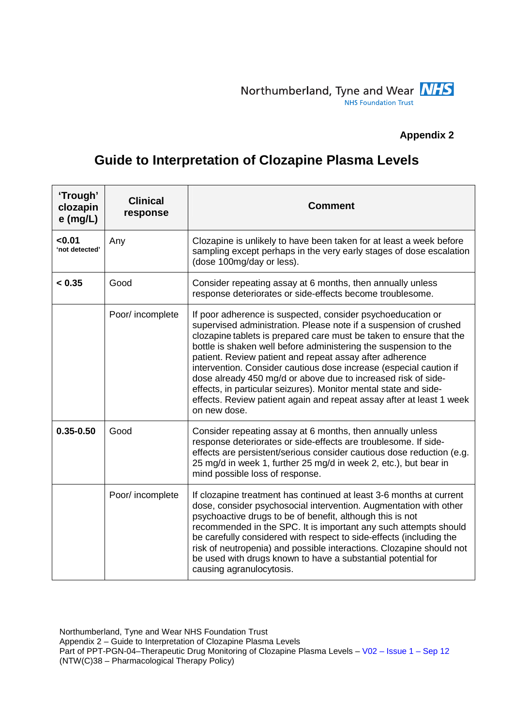## **Appendix 2**

## **Guide to Interpretation of Clozapine Plasma Levels**

| 'Trough'<br>clozapin<br>$e$ (mg/L) | <b>Clinical</b><br>response | <b>Comment</b>                                                                                                                                                                                                                                                                                                                                                                                                                                                                                                                                                                                                                             |
|------------------------------------|-----------------------------|--------------------------------------------------------------------------------------------------------------------------------------------------------------------------------------------------------------------------------------------------------------------------------------------------------------------------------------------------------------------------------------------------------------------------------------------------------------------------------------------------------------------------------------------------------------------------------------------------------------------------------------------|
| < 0.01<br>'not detected'           | Any                         | Clozapine is unlikely to have been taken for at least a week before<br>sampling except perhaps in the very early stages of dose escalation<br>(dose 100mg/day or less).                                                                                                                                                                                                                                                                                                                                                                                                                                                                    |
| < 0.35                             | Good                        | Consider repeating assay at 6 months, then annually unless<br>response deteriorates or side-effects become troublesome.                                                                                                                                                                                                                                                                                                                                                                                                                                                                                                                    |
|                                    | Poor/ incomplete            | If poor adherence is suspected, consider psychoeducation or<br>supervised administration. Please note if a suspension of crushed<br>clozapine tablets is prepared care must be taken to ensure that the<br>bottle is shaken well before administering the suspension to the<br>patient. Review patient and repeat assay after adherence<br>intervention. Consider cautious dose increase (especial caution if<br>dose already 450 mg/d or above due to increased risk of side-<br>effects, in particular seizures). Monitor mental state and side-<br>effects. Review patient again and repeat assay after at least 1 week<br>on new dose. |
| $0.35 - 0.50$                      | Good                        | Consider repeating assay at 6 months, then annually unless<br>response deteriorates or side-effects are troublesome. If side-<br>effects are persistent/serious consider cautious dose reduction (e.g.<br>25 mg/d in week 1, further 25 mg/d in week 2, etc.), but bear in<br>mind possible loss of response.                                                                                                                                                                                                                                                                                                                              |
|                                    | Poor/ incomplete            | If clozapine treatment has continued at least 3-6 months at current<br>dose, consider psychosocial intervention. Augmentation with other<br>psychoactive drugs to be of benefit, although this is not<br>recommended in the SPC. It is important any such attempts should<br>be carefully considered with respect to side-effects (including the<br>risk of neutropenia) and possible interactions. Clozapine should not<br>be used with drugs known to have a substantial potential for<br>causing agranulocytosis.                                                                                                                       |